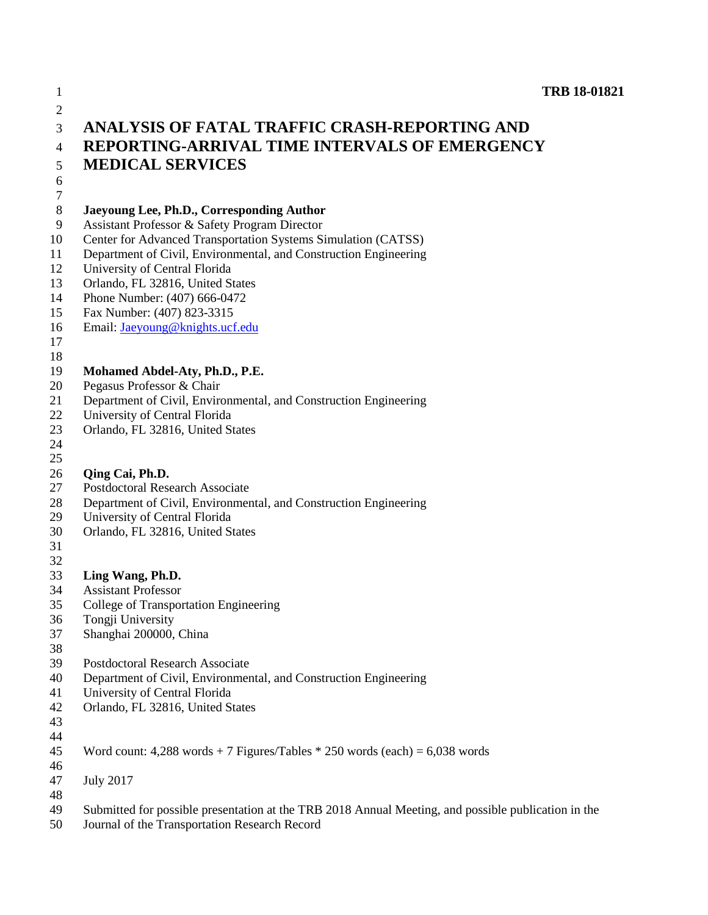| $\mathbf{1}$ | <b>TRB 18-01821</b>                                                                                 |
|--------------|-----------------------------------------------------------------------------------------------------|
| $\mathbf{2}$ |                                                                                                     |
| 3            | ANALYSIS OF FATAL TRAFFIC CRASH-REPORTING AND                                                       |
| 4            | <b>REPORTING-ARRIVAL TIME INTERVALS OF EMERGENCY</b>                                                |
| 5            | <b>MEDICAL SERVICES</b>                                                                             |
| 6            |                                                                                                     |
| 7            |                                                                                                     |
| 8            | Jaeyoung Lee, Ph.D., Corresponding Author                                                           |
| 9            | Assistant Professor & Safety Program Director                                                       |
| 10           | Center for Advanced Transportation Systems Simulation (CATSS)                                       |
| 11<br>12     | Department of Civil, Environmental, and Construction Engineering                                    |
| 13           | University of Central Florida<br>Orlando, FL 32816, United States                                   |
| 14           | Phone Number: (407) 666-0472                                                                        |
| 15           | Fax Number: (407) 823-3315                                                                          |
| 16           | Email: Jaeyoung@knights.ucf.edu                                                                     |
| 17           |                                                                                                     |
| 18           |                                                                                                     |
| 19           | Mohamed Abdel-Aty, Ph.D., P.E.                                                                      |
| 20           | Pegasus Professor & Chair                                                                           |
| 21           | Department of Civil, Environmental, and Construction Engineering                                    |
| 22           | University of Central Florida                                                                       |
| 23           | Orlando, FL 32816, United States                                                                    |
| 24           |                                                                                                     |
| 25<br>26     | Qing Cai, Ph.D.                                                                                     |
| 27           | <b>Postdoctoral Research Associate</b>                                                              |
| 28           | Department of Civil, Environmental, and Construction Engineering                                    |
| 29           | University of Central Florida                                                                       |
| 30           | Orlando, FL 32816, United States                                                                    |
| 31           |                                                                                                     |
| 32           |                                                                                                     |
| 33           | Ling Wang, Ph.D.                                                                                    |
| 34           | <b>Assistant Professor</b>                                                                          |
| 35           | College of Transportation Engineering                                                               |
| 36           | Tongji University                                                                                   |
| 37           | Shanghai 200000, China                                                                              |
| 38<br>39     | <b>Postdoctoral Research Associate</b>                                                              |
| 40           | Department of Civil, Environmental, and Construction Engineering                                    |
| 41           | University of Central Florida                                                                       |
| 42           | Orlando, FL 32816, United States                                                                    |
| 43           |                                                                                                     |
| 44           |                                                                                                     |
| 45           | Word count: $4,288$ words $+ 7$ Figures/Tables $* 250$ words (each) = 6,038 words                   |
| 46           |                                                                                                     |
| 47           | <b>July 2017</b>                                                                                    |
| 48           |                                                                                                     |
| 49           | Submitted for possible presentation at the TRB 2018 Annual Meeting, and possible publication in the |

Journal of the Transportation Research Record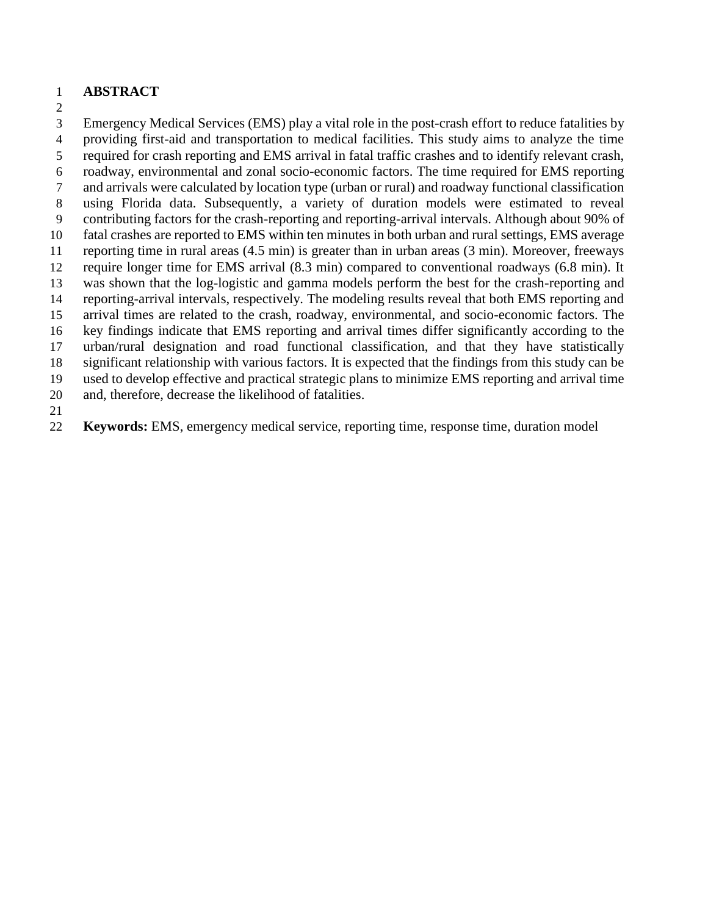### **ABSTRACT**

 Emergency Medical Services (EMS) play a vital role in the post-crash effort to reduce fatalities by providing first-aid and transportation to medical facilities. This study aims to analyze the time required for crash reporting and EMS arrival in fatal traffic crashes and to identify relevant crash, roadway, environmental and zonal socio-economic factors. The time required for EMS reporting and arrivals were calculated by location type (urban or rural) and roadway functional classification using Florida data. Subsequently, a variety of duration models were estimated to reveal contributing factors for the crash-reporting and reporting-arrival intervals. Although about 90% of fatal crashes are reported to EMS within ten minutes in both urban and rural settings, EMS average reporting time in rural areas (4.5 min) is greater than in urban areas (3 min). Moreover, freeways require longer time for EMS arrival (8.3 min) compared to conventional roadways (6.8 min). It was shown that the log-logistic and gamma models perform the best for the crash-reporting and reporting-arrival intervals, respectively. The modeling results reveal that both EMS reporting and arrival times are related to the crash, roadway, environmental, and socio-economic factors. The key findings indicate that EMS reporting and arrival times differ significantly according to the urban/rural designation and road functional classification, and that they have statistically significant relationship with various factors. It is expected that the findings from this study can be used to develop effective and practical strategic plans to minimize EMS reporting and arrival time and, therefore, decrease the likelihood of fatalities.

**Keywords:** EMS, emergency medical service, reporting time, response time, duration model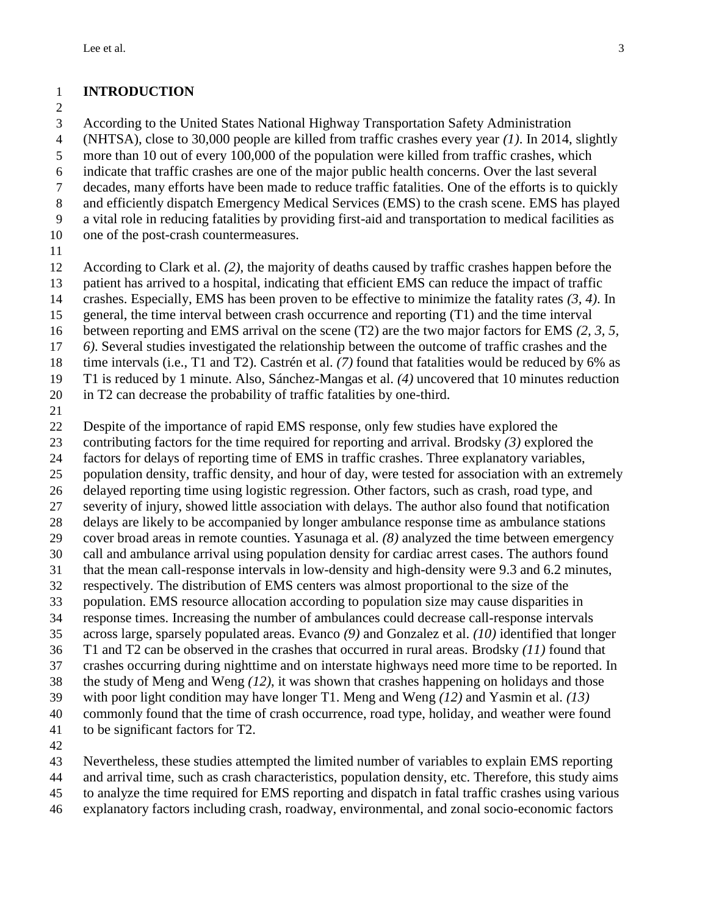### **INTRODUCTION**

 According to the United States National Highway Transportation Safety Administration (NHTSA), close to 30,000 people are killed from traffic crashes every year *[\(1\)](#page-13-0)*. In 2014, slightly more than 10 out of every 100,000 of the population were killed from traffic crashes, which indicate that traffic crashes are one of the major public health concerns. Over the last several decades, many efforts have been made to reduce traffic fatalities. One of the efforts is to quickly and efficiently dispatch Emergency Medical Services (EMS) to the crash scene. EMS has played a vital role in reducing fatalities by providing first-aid and transportation to medical facilities as one of the post-crash countermeasures. According to [Clark et al.](#page-13-1) *(2)*, the majority of deaths caused by traffic crashes happen before the patient has arrived to a hospital, indicating that efficient EMS can reduce the impact of traffic crashes. Especially, EMS has been proven to be effective to minimize the fatality rates *[\(3,](#page-13-2) [4\)](#page-13-3)*. In general, the time interval between crash occurrence and reporting (T1) and the time interval

- between reporting and EMS arrival on the scene (T2) are the two major factors for EMS *[\(2,](#page-13-1) [3,](#page-13-2) [5,](#page-13-4)*
- *[6\)](#page-13-5)*. Several studies investigated the relationship between the outcome of traffic crashes and the
- time intervals (i.e., T1 and T2). [Castrén et al.](#page-13-6) *(7)* found that fatalities would be reduced by 6% as
- T1 is reduced by 1 minute. Also, [Sánchez-Mangas et al.](#page-13-3) *(4)* uncovered that 10 minutes reduction
- in T2 can decrease the probability of traffic fatalities by one-third.
- 

Despite of the importance of rapid EMS response, only few studies have explored the

- contributing factors for the time required for reporting and arrival. [Brodsky](#page-13-2) *(3)* explored the
- factors for delays of reporting time of EMS in traffic crashes. Three explanatory variables,
- population density, traffic density, and hour of day, were tested for association with an extremely
- delayed reporting time using logistic regression. Other factors, such as crash, road type, and
- severity of injury, showed little association with delays. The author also found that notification
- delays are likely to be accompanied by longer ambulance response time as ambulance stations cover broad areas in remote counties. [Yasunaga et al.](#page-13-7) *(8)* analyzed the time between emergency
- call and ambulance arrival using population density for cardiac arrest cases. The authors found
- that the mean call-response intervals in low-density and high-density were 9.3 and 6.2 minutes,
- respectively. The distribution of EMS centers was almost proportional to the size of the
- population. EMS resource allocation according to population size may cause disparities in
- response times. Increasing the number of ambulances could decrease call-response intervals
- across large, sparsely populated areas. [Evanco](#page-13-8) *(9)* and [Gonzalez et al.](#page-13-9) *(10)* identified that longer
- T1 and T2 can be observed in the crashes that occurred in rural areas. [Brodsky](#page-13-10) *(11)* found that
- crashes occurring during nighttime and on interstate highways need more time to be reported. In
- the study of [Meng and Weng](#page-13-11) *(12)*, it was shown that crashes happening on holidays and those
- with poor light condition may have longer T1. [Meng and Weng](#page-13-11) *(12)* and [Yasmin et al.](#page-13-12) *(13)* commonly found that the time of crash occurrence, road type, holiday, and weather were found
- to be significant factors for T2.
- 
- Nevertheless, these studies attempted the limited number of variables to explain EMS reporting
- and arrival time, such as crash characteristics, population density, etc. Therefore, this study aims
- to analyze the time required for EMS reporting and dispatch in fatal traffic crashes using various
- explanatory factors including crash, roadway, environmental, and zonal socio-economic factors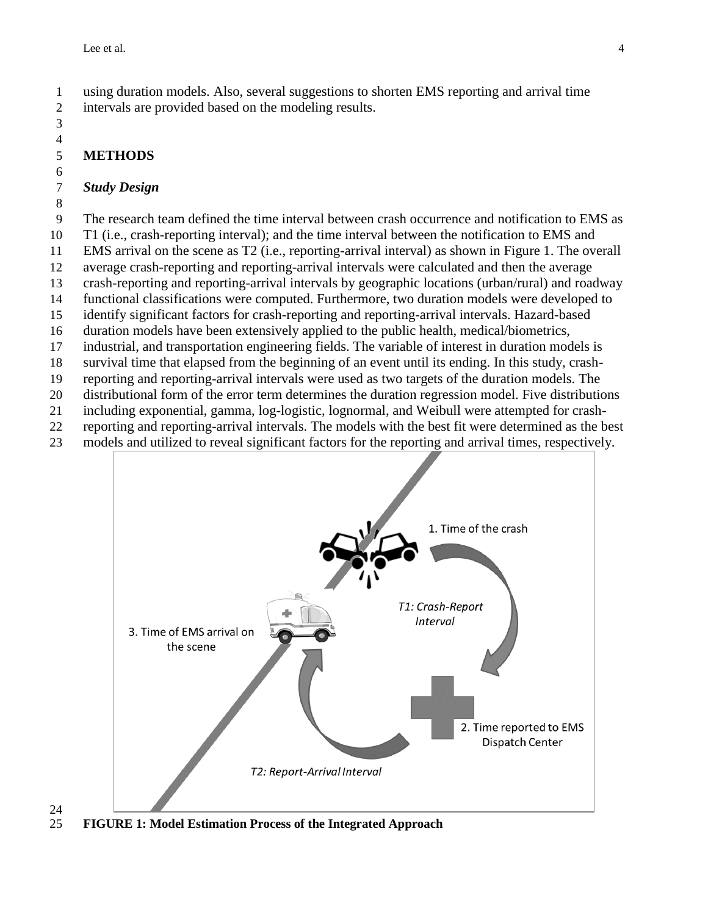using duration models. Also, several suggestions to shorten EMS reporting and arrival time intervals are provided based on the modeling results.

### **METHODS**

#### *Study Design*

The research team defined the time interval between crash occurrence and notification to EMS as

T1 (i.e., crash-reporting interval); and the time interval between the notification to EMS and

 EMS arrival on the scene as T2 (i.e., reporting-arrival interval) as shown in Figure 1. The overall average crash-reporting and reporting-arrival intervals were calculated and then the average

crash-reporting and reporting-arrival intervals by geographic locations (urban/rural) and roadway

functional classifications were computed. Furthermore, two duration models were developed to

identify significant factors for crash-reporting and reporting-arrival intervals. Hazard-based

duration models have been extensively applied to the public health, medical/biometrics,

industrial, and transportation engineering fields. The variable of interest in duration models is

survival time that elapsed from the beginning of an event until its ending. In this study, crash-

reporting and reporting-arrival intervals were used as two targets of the duration models. The

distributional form of the error term determines the duration regression model. Five distributions

including exponential, gamma, log-logistic, lognormal, and Weibull were attempted for crash-

reporting and reporting-arrival intervals. The models with the best fit were determined as the best

models and utilized to reveal significant factors for the reporting and arrival times, respectively.



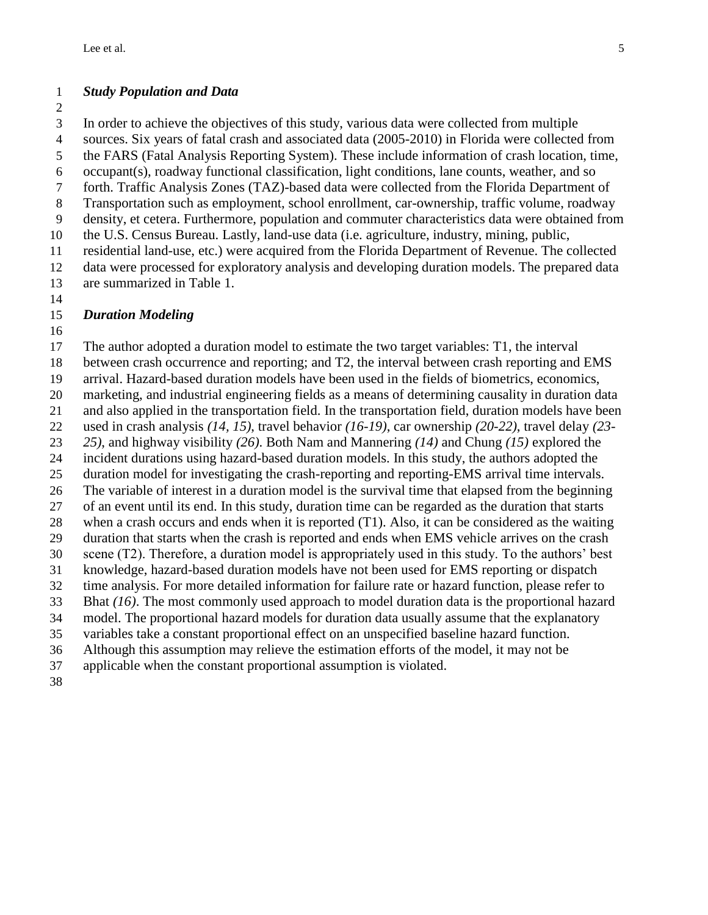### *Study Population and Data*

 In order to achieve the objectives of this study, various data were collected from multiple sources. Six years of fatal crash and associated data (2005-2010) in Florida were collected from the FARS (Fatal Analysis Reporting System). These include information of crash location, time, occupant(s), roadway functional classification, light conditions, lane counts, weather, and so forth. Traffic Analysis Zones (TAZ)-based data were collected from the Florida Department of Transportation such as employment, school enrollment, car-ownership, traffic volume, roadway density, et cetera. Furthermore, population and commuter characteristics data were obtained from the U.S. Census Bureau. Lastly, land-use data (i.e. agriculture, industry, mining, public, residential land-use, etc.) were acquired from the Florida Department of Revenue. The collected data were processed for exploratory analysis and developing duration models. The prepared data are summarized in Table 1.

### *Duration Modeling*

 The author adopted a duration model to estimate the two target variables: T1, the interval between crash occurrence and reporting; and T2, the interval between crash reporting and EMS arrival. Hazard-based duration models have been used in the fields of biometrics, economics, marketing, and industrial engineering fields as a means of determining causality in duration data and also applied in the transportation field. In the transportation field, duration models have been used in crash analysis *[\(14,](#page-13-13) [15\)](#page-13-14)*, travel behavior *[\(16-19\)](#page-13-15)*, car ownership *[\(20-22\)](#page-14-0)*, travel delay *[\(23-](#page-14-1) [25\)](#page-14-1)*, and highway visibility *[\(26\)](#page-14-2)*. Both [Nam and Mannering](#page-13-13) *(14)* and [Chung](#page-13-14) *(15)* explored the incident durations using hazard-based duration models. In this study, the authors adopted the duration model for investigating the crash-reporting and reporting-EMS arrival time intervals. The variable of interest in a duration model is the survival time that elapsed from the beginning of an event until its end. In this study, duration time can be regarded as the duration that starts when a crash occurs and ends when it is reported (T1). Also, it can be considered as the waiting duration that starts when the crash is reported and ends when EMS vehicle arrives on the crash scene (T2). Therefore, a duration model is appropriately used in this study. To the authors' best knowledge, hazard-based duration models have not been used for EMS reporting or dispatch time analysis. For more detailed information for failure rate or hazard function, please refer to [Bhat](#page-13-15) *(16)*. The most commonly used approach to model duration data is the proportional hazard model. The proportional hazard models for duration data usually assume that the explanatory variables take a constant proportional effect on an unspecified baseline hazard function. Although this assumption may relieve the estimation efforts of the model, it may not be applicable when the constant proportional assumption is violated.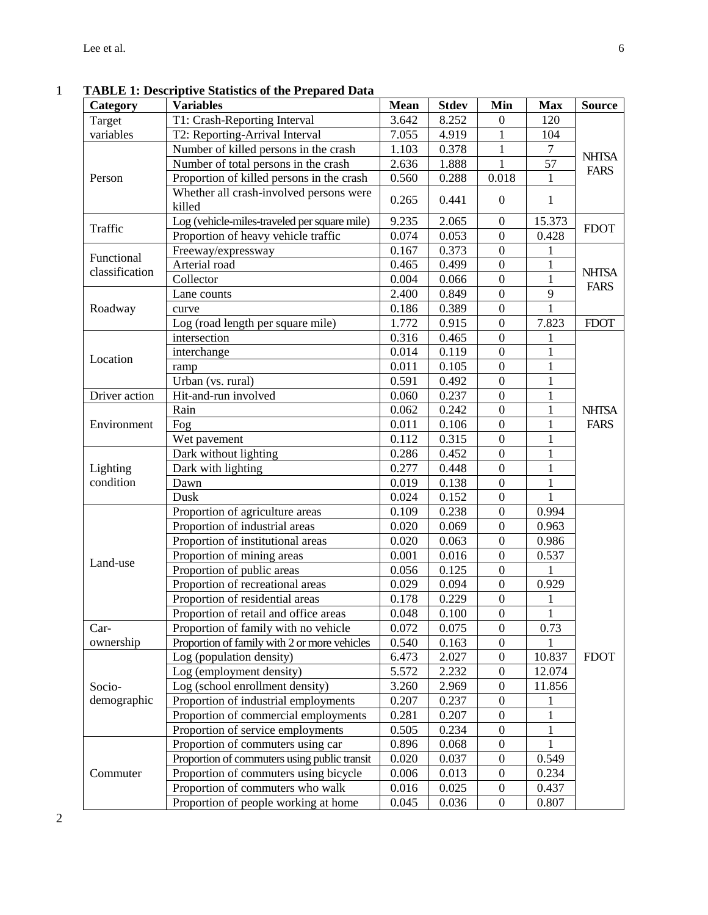| Category                     | <b>Variables</b>                                  | <b>Mean</b> | <b>Stdev</b> | Min              | <b>Max</b>     | <b>Source</b>               |
|------------------------------|---------------------------------------------------|-------------|--------------|------------------|----------------|-----------------------------|
| Target                       | T1: Crash-Reporting Interval                      | 3.642       | 8.252        | $\overline{0}$   | 120            |                             |
| variables                    | T2: Reporting-Arrival Interval                    | 7.055       | 4.919        | 1                | 104            |                             |
|                              | Number of killed persons in the crash             | 1.103       | 0.378        | 1                | $\overline{7}$ | <b>NHTSA</b>                |
|                              | Number of total persons in the crash              | 2.636       | 1.888        | 1                | 57             | <b>FARS</b>                 |
| Person                       | Proportion of killed persons in the crash         | 0.560       | 0.288        | 0.018            | 1              |                             |
|                              | Whether all crash-involved persons were<br>killed | 0.265       | 0.441        | $\mathbf{0}$     | 1              |                             |
|                              | Log (vehicle-miles-traveled per square mile)      | 9.235       | 2.065        | $\theta$         | 15.373         | <b>FDOT</b>                 |
| Traffic                      | Proportion of heavy vehicle traffic               | 0.074       | 0.053        | $\boldsymbol{0}$ | 0.428          |                             |
|                              | Freeway/expressway                                | 0.167       | 0.373        | $\boldsymbol{0}$ | 1              |                             |
| Functional<br>classification | Arterial road                                     | 0.465       | 0.499        | $\boldsymbol{0}$ | $\mathbf{1}$   |                             |
|                              | Collector                                         | 0.004       | 0.066        | $\overline{0}$   | $\mathbf{1}$   | <b>NHTSA</b><br><b>FARS</b> |
|                              | Lane counts                                       | 2.400       | 0.849        | $\boldsymbol{0}$ | 9              |                             |
| Roadway                      | curve                                             | 0.186       | 0.389        | $\boldsymbol{0}$ | $\mathbf{1}$   |                             |
|                              | Log (road length per square mile)                 | 1.772       | 0.915        | $\boldsymbol{0}$ | 7.823          | <b>FDOT</b>                 |
|                              | intersection                                      | 0.316       | 0.465        | $\boldsymbol{0}$ | 1              |                             |
| Location                     | interchange                                       | 0.014       | 0.119        | $\boldsymbol{0}$ | 1              |                             |
|                              | ramp                                              | 0.011       | 0.105        | $\mathbf{0}$     | 1              |                             |
|                              | Urban (vs. rural)                                 | 0.591       | 0.492        | $\boldsymbol{0}$ | $\mathbf{1}$   |                             |
| Driver action                | Hit-and-run involved                              | 0.060       | 0.237        | $\boldsymbol{0}$ | 1              |                             |
|                              | Rain                                              | 0.062       | 0.242        | $\boldsymbol{0}$ | $\mathbf{1}$   | <b>NHTSA</b>                |
| Environment                  | Fog                                               | 0.011       | 0.106        | $\boldsymbol{0}$ | 1              | <b>FARS</b>                 |
|                              | Wet pavement                                      | 0.112       | 0.315        | $\overline{0}$   |                |                             |
|                              | Dark without lighting                             | 0.286       | 0.452        | $\boldsymbol{0}$ | 1              |                             |
| Lighting                     | Dark with lighting                                | 0.277       | 0.448        | $\boldsymbol{0}$ | $\mathbf{1}$   |                             |
| condition                    | Dawn                                              | 0.019       | 0.138        | $\boldsymbol{0}$ | 1              |                             |
|                              | Dusk                                              | 0.024       | 0.152        | $\boldsymbol{0}$ | 1              |                             |
|                              | Proportion of agriculture areas                   | 0.109       | 0.238        | $\mathbf{0}$     | 0.994          |                             |
|                              | Proportion of industrial areas                    | 0.020       | 0.069        | $\boldsymbol{0}$ | 0.963          |                             |
|                              | Proportion of institutional areas                 | 0.020       | 0.063        | $\boldsymbol{0}$ | 0.986          |                             |
| Land-use                     | Proportion of mining areas                        | 0.001       | 0.016        | $\boldsymbol{0}$ | 0.537          |                             |
|                              | Proportion of public areas                        | 0.056       | 0.125        | $\boldsymbol{0}$ | 1              |                             |
|                              | Proportion of recreational areas                  | 0.029       | 0.094        | $\overline{0}$   | 0.929          |                             |
|                              | Proportion of residential areas                   | 0.178       | 0.229        | $\boldsymbol{0}$ | 1              |                             |
|                              | Proportion of retail and office areas             | 0.048       | 0.100        | $\overline{0}$   | $\overline{1}$ |                             |
| Car-                         | Proportion of family with no vehicle              | 0.072       | 0.075        | $\mathbf{0}$     | 0.73           |                             |
| ownership                    | Proportion of family with 2 or more vehicles      | 0.540       | 0.163        | $\boldsymbol{0}$ |                |                             |
|                              | Log (population density)                          | 6.473       | 2.027        | $\boldsymbol{0}$ | 10.837         | <b>FDOT</b>                 |
|                              | Log (employment density)                          | 5.572       | 2.232        | $\boldsymbol{0}$ | 12.074         |                             |
| Socio-                       | Log (school enrollment density)                   | 3.260       | 2.969        | $\boldsymbol{0}$ | 11.856         |                             |
| demographic                  | Proportion of industrial employments              | 0.207       | 0.237        | $\boldsymbol{0}$ |                |                             |
|                              | Proportion of commercial employments              | 0.281       | 0.207        | $\boldsymbol{0}$ |                |                             |
|                              | Proportion of service employments                 | 0.505       | 0.234        | $\boldsymbol{0}$ | 1              |                             |
|                              | Proportion of commuters using car                 | 0.896       | 0.068        | $\boldsymbol{0}$ |                |                             |
|                              | Proportion of commuters using public transit      | 0.020       | 0.037        | $\boldsymbol{0}$ | 0.549          |                             |
| Commuter                     | Proportion of commuters using bicycle             | 0.006       | 0.013        | $\boldsymbol{0}$ | 0.234          |                             |
|                              | Proportion of commuters who walk                  | 0.016       | 0.025        | $\boldsymbol{0}$ | 0.437          |                             |
|                              | Proportion of people working at home              | 0.045       | 0.036        | $\overline{0}$   | 0.807          |                             |

1 **TABLE 1: Descriptive Statistics of the Prepared Data**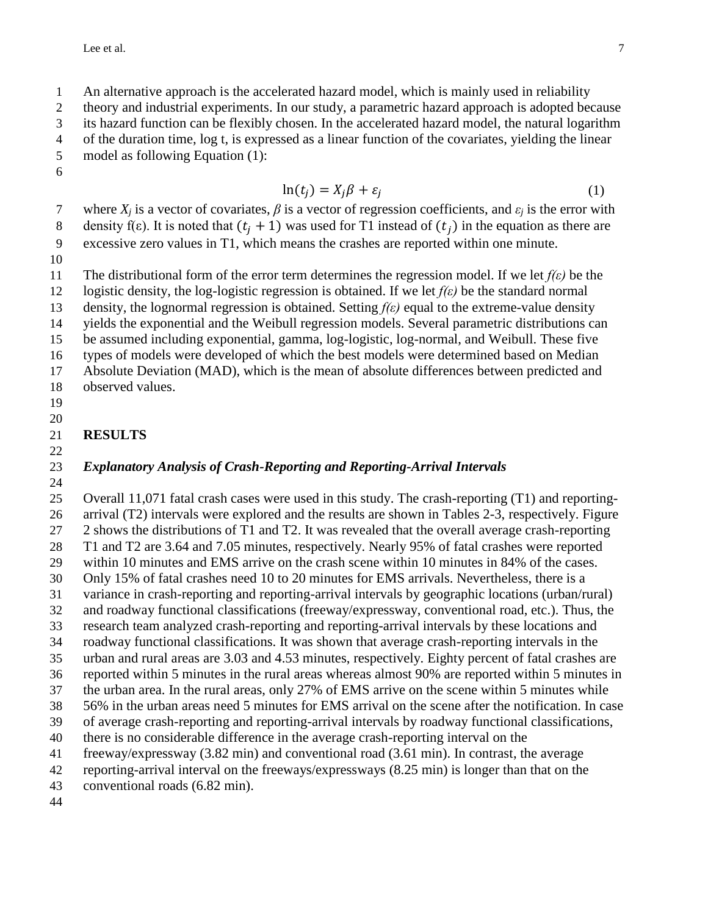An alternative approach is the accelerated hazard model, which is mainly used in reliability

theory and industrial experiments. In our study, a parametric hazard approach is adopted because

its hazard function can be flexibly chosen. In the accelerated hazard model, the natural logarithm

of the duration time, log t, is expressed as a linear function of the covariates, yielding the linear

 model as following Equation (1): 

$$
\ln(t_j) = X_j \beta + \varepsilon_j \tag{1}
$$

7 where  $X_i$  is a vector of covariates,  $\beta$  is a vector of regression coefficients, and  $\varepsilon_i$  is the error with  $\delta$  density f(ε). It is noted that  $(t_i + 1)$  was used for T1 instead of  $(t_i)$  in the equation as there are excessive zero values in T1, which means the crashes are reported within one minute.

The distributional form of the error term determines the regression model. If we let *f(ε)* be the

 logistic density, the log-logistic regression is obtained. If we let *f(ε)* be the standard normal density, the lognormal regression is obtained. Setting *f(ε)* equal to the extreme-value density

yields the exponential and the Weibull regression models. Several parametric distributions can

be assumed including exponential, gamma, log-logistic, log-normal, and Weibull. These five

types of models were developed of which the best models were determined based on Median

Absolute Deviation (MAD), which is the mean of absolute differences between predicted and

- observed values.
- 

# **RESULTS**

### *Explanatory Analysis of Crash-Reporting and Reporting-Arrival Intervals*

 Overall 11,071 fatal crash cases were used in this study. The crash-reporting (T1) and reporting- arrival (T2) intervals were explored and the results are shown in Tables 2-3, respectively. Figure 2 shows the distributions of T1 and T2. It was revealed that the overall average crash-reporting T1 and T2 are 3.64 and 7.05 minutes, respectively. Nearly 95% of fatal crashes were reported within 10 minutes and EMS arrive on the crash scene within 10 minutes in 84% of the cases. Only 15% of fatal crashes need 10 to 20 minutes for EMS arrivals. Nevertheless, there is a variance in crash-reporting and reporting-arrival intervals by geographic locations (urban/rural) and roadway functional classifications (freeway/expressway, conventional road, etc.). Thus, the research team analyzed crash-reporting and reporting-arrival intervals by these locations and roadway functional classifications. It was shown that average crash-reporting intervals in the urban and rural areas are 3.03 and 4.53 minutes, respectively. Eighty percent of fatal crashes are reported within 5 minutes in the rural areas whereas almost 90% are reported within 5 minutes in the urban area. In the rural areas, only 27% of EMS arrive on the scene within 5 minutes while 56% in the urban areas need 5 minutes for EMS arrival on the scene after the notification. In case of average crash-reporting and reporting-arrival intervals by roadway functional classifications, there is no considerable difference in the average crash-reporting interval on the freeway/expressway (3.82 min) and conventional road (3.61 min). In contrast, the average reporting-arrival interval on the freeways/expressways (8.25 min) is longer than that on the

conventional roads (6.82 min).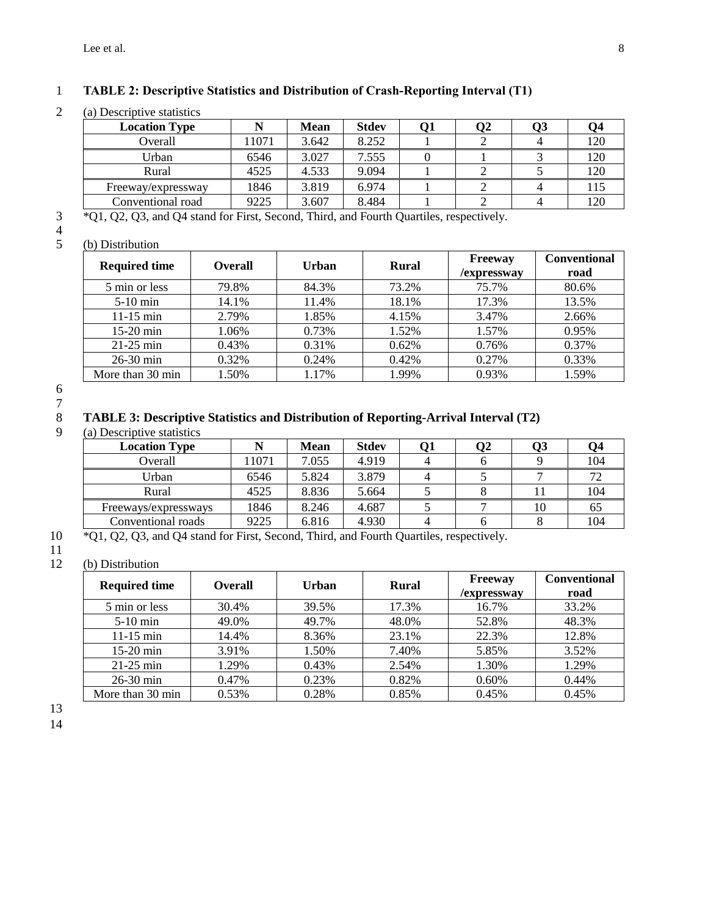### 1 **TABLE 2: Descriptive Statistics and Distribution of Crash-Reporting Interval (T1)**

2 (a) Descriptive statistics

| <b>Location Type</b> |       | <b>Mean</b> | <b>Stdev</b> |  | Э2 | Q3 | O4  |  |
|----------------------|-------|-------------|--------------|--|----|----|-----|--|
| Overall              | 11071 | 3.642       | 8.252        |  |    |    | 120 |  |
| Urban                | 6546  | 3.027       | 7.555        |  |    |    | 120 |  |
| Rural                | 4525  | 4.533       | 9.094        |  |    |    | 120 |  |
| Freeway/expressway   | 1846  | 3.819       | 6.974        |  |    |    | 115 |  |
| Conventional road    | 9225  | 3.607       | 8.484        |  |    |    | 120 |  |
|                      |       |             |              |  |    |    |     |  |

3 \*Q1, Q2, Q3, and Q4 stand for First, Second, Third, and Fourth Quartiles, respectively.

# $\begin{array}{c} 3 \\ 4 \\ 5 \end{array}$

| (b) Distribution |
|------------------|
|                  |

| <b>Required time</b> | <b>Overall</b> | Urban | <b>Rural</b> | <b>Conventional</b><br><b>Freeway</b><br>/expressway |       |
|----------------------|----------------|-------|--------------|------------------------------------------------------|-------|
| 5 min or less        | 79.8%          | 84.3% | 73.2%        | 75.7%                                                | 80.6% |
| $5-10$ min           | 14.1%          | 11.4% | 18.1%        | 17.3%                                                | 13.5% |
| $11-15$ min          | 2.79%          | 1.85% | 4.15%        | 3.47%                                                | 2.66% |
| $15-20$ min          | 1.06%          | 0.73% | 1.52%        | 1.57%                                                | 0.95% |
| $21-25$ min          | 0.43%          | 0.31% | 0.62%        | 0.76%                                                | 0.37% |
| 26-30 min            | 0.32%          | 0.24% | 0.42%        | 0.27%                                                | 0.33% |
| More than 30 min     | 1.50%          | 1.17% | 1.99%        | 0.93%                                                | 1.59% |

6 7

### 8 **TABLE 3: Descriptive Statistics and Distribution of Reporting-Arrival Interval (T2)**

(a) Descriptive statistics

| <b>Location Type</b>                                                                                     |       | <b>Mean</b> | <b>Stdev</b> | 01 | 02 | 93 | 94  |
|----------------------------------------------------------------------------------------------------------|-------|-------------|--------------|----|----|----|-----|
| Overall                                                                                                  | 11071 | 7.055       | 4.919        |    |    |    | 104 |
| Urban                                                                                                    | 6546  | 5.824       | 3.879        |    |    |    |     |
| Rural                                                                                                    | 4525  | 8.836       | 5.664        |    |    |    | 104 |
| Freeways/expressways                                                                                     | 1846  | 8.246       | 4.687        |    |    | 10 | 65  |
| Conventional roads                                                                                       | 9225  | 6.816       | 4.930        |    |    |    | 104 |
| $\sim$ $\sim$ $\sim$<br>$\overline{101}$ $\overline{10}$ $\overline{10}$ $\overline{11}$ $\overline{10}$ |       | 1.771.1     |              |    |    |    |     |

10 \*Q1, Q2, Q3, and Q4 stand for First, Second, Third, and Fourth Quartiles, respectively.

# $\frac{11}{12}$

| (b) Distribution     |                |       |              |                               |                             |  |  |  |
|----------------------|----------------|-------|--------------|-------------------------------|-----------------------------|--|--|--|
| <b>Required time</b> | <b>Overall</b> | Urban | <b>Rural</b> | <b>Freeway</b><br>/expressway | <b>Conventional</b><br>road |  |  |  |
| 5 min or less        | 30.4%          | 39.5% | 17.3%        | 16.7%                         | 33.2%                       |  |  |  |
| $5-10$ min           | 49.0%          | 49.7% | 48.0%        | 52.8%                         | 48.3%                       |  |  |  |
| $11-15$ min          | 14.4%          | 8.36% | 23.1%        | 22.3%                         | 12.8%                       |  |  |  |
| $15-20$ min          | 3.91%          | 1.50% | 7.40%        | 5.85%                         | 3.52%                       |  |  |  |
| $21-25$ min          | 1.29%          | 0.43% | 2.54%        | 1.30%                         | 1.29%                       |  |  |  |
| $26-30$ min          | 0.47%          | 0.23% | 0.82%        | 0.60%                         | 0.44%                       |  |  |  |
| More than 30 min     | 0.53%          | 0.28% | 0.85%        | 0.45%                         | 0.45%                       |  |  |  |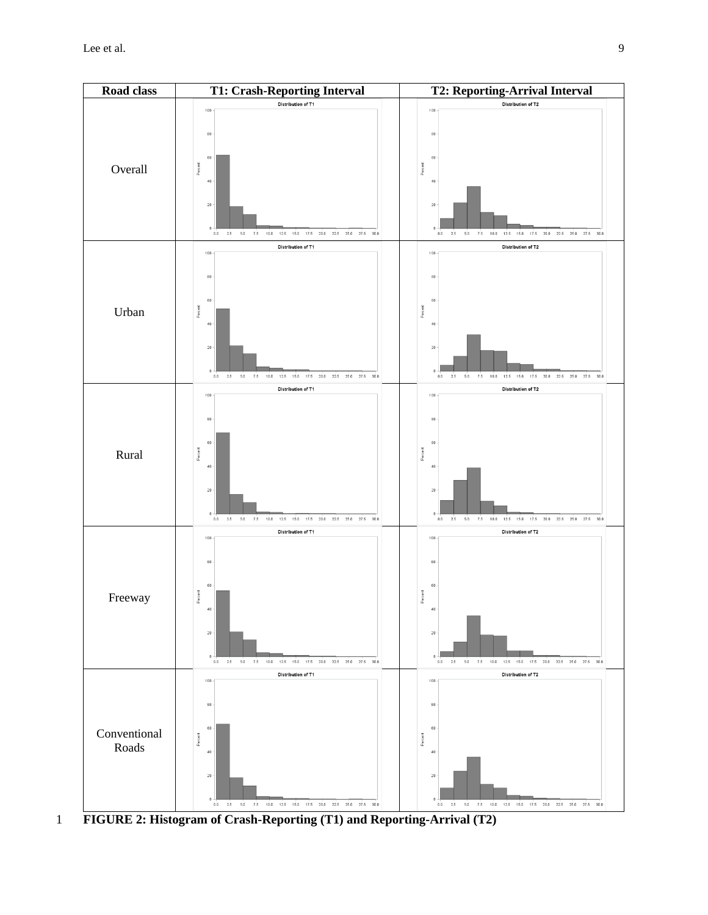

1 **FIGURE 2: Histogram of Crash-Reporting (T1) and Reporting-Arrival (T2)**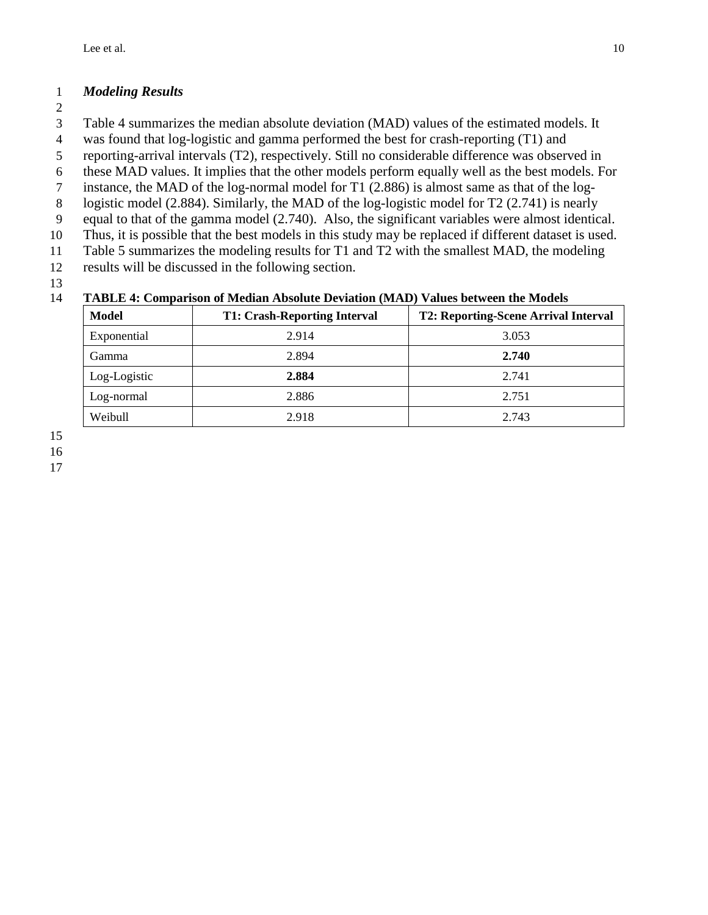# *Modeling Results*

- 
- Table 4 summarizes the median absolute deviation (MAD) values of the estimated models. It
- was found that log-logistic and gamma performed the best for crash-reporting (T1) and
- reporting-arrival intervals (T2), respectively. Still no considerable difference was observed in
- these MAD values. It implies that the other models perform equally well as the best models. For
- instance, the MAD of the log-normal model for T1 (2.886) is almost same as that of the log-
- logistic model (2.884). Similarly, the MAD of the log-logistic model for T2 (2.741) is nearly
- equal to that of the gamma model (2.740). Also, the significant variables were almost identical.
- Thus, it is possible that the best models in this study may be replaced if different dataset is used.
- Table 5 summarizes the modeling results for T1 and T2 with the smallest MAD, the modeling
- results will be discussed in the following section.

### **TABLE 4: Comparison of Median Absolute Deviation (MAD) Values between the Models**

| <b>Model</b> | <b>T1: Crash-Reporting Interval</b> | <b>T2: Reporting-Scene Arrival Interval</b> |  |  |  |  |
|--------------|-------------------------------------|---------------------------------------------|--|--|--|--|
| Exponential  | 2.914                               | 3.053                                       |  |  |  |  |
| Gamma        | 2.894                               | 2.740                                       |  |  |  |  |
| Log-Logistic | 2.884                               | 2.741                                       |  |  |  |  |
| Log-normal   | 2.886                               | 2.751                                       |  |  |  |  |
| Weibull      | 2.918                               | 2.743                                       |  |  |  |  |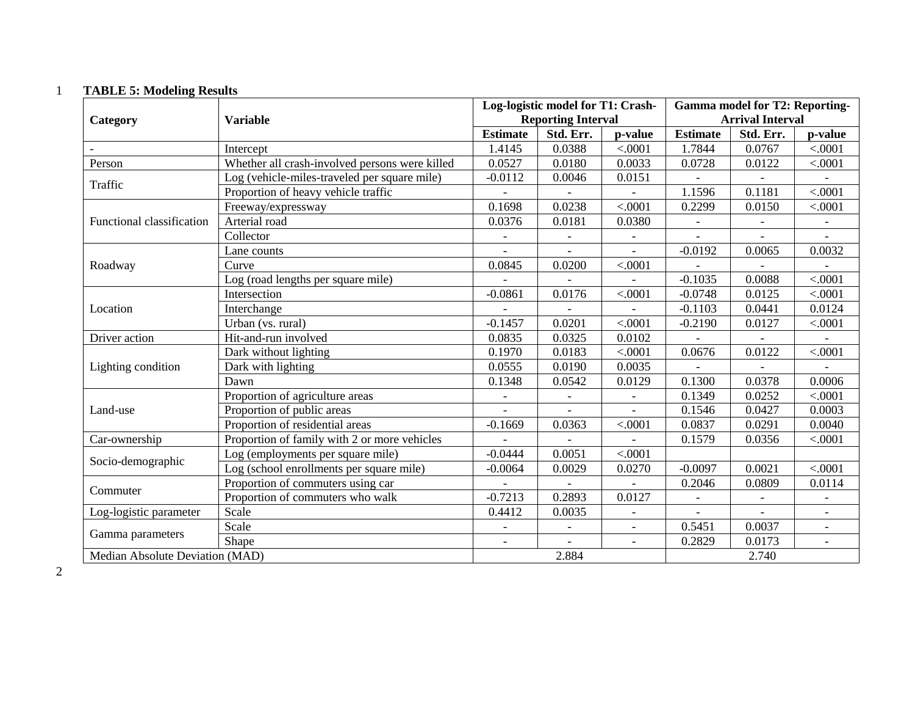# 1 **TABLE 5: Modeling Results**

|                                 |                                                |                          | Log-logistic model for T1: Crash- |                          | <b>Gamma model for T2: Reporting-</b> |                           |                          |
|---------------------------------|------------------------------------------------|--------------------------|-----------------------------------|--------------------------|---------------------------------------|---------------------------|--------------------------|
| Category                        | <b>Variable</b>                                |                          | <b>Reporting Interval</b>         |                          | <b>Arrival Interval</b>               |                           |                          |
|                                 |                                                | <b>Estimate</b>          | Std. Err.                         | p-value                  | <b>Estimate</b>                       | Std. Err.                 | p-value                  |
|                                 | Intercept                                      | 1.4145                   | 0.0388                            | < .0001                  | 1.7844                                | 0.0767                    | < .0001                  |
| Person                          | Whether all crash-involved persons were killed | 0.0527                   | 0.0180                            | 0.0033                   | 0.0728                                | 0.0122                    | < .0001                  |
| Traffic                         | Log (vehicle-miles-traveled per square mile)   | $-0.0112$                | 0.0046                            | 0.0151                   | $\blacksquare$                        | $\overline{\phantom{a}}$  |                          |
|                                 | Proportion of heavy vehicle traffic            |                          |                                   |                          | 1.1596                                | 0.1181                    | < .0001                  |
|                                 | Freeway/expressway                             | 0.1698                   | 0.0238                            | < .0001                  | 0.2299                                | 0.0150                    | < .0001                  |
| Functional classification       | Arterial road                                  | 0.0376                   | 0.0181                            | 0.0380                   | $\overline{\phantom{a}}$              |                           |                          |
|                                 | Collector                                      | $\qquad \qquad -$        |                                   |                          |                                       |                           |                          |
|                                 | Lane counts                                    | $\overline{\phantom{a}}$ | $\overline{\phantom{a}}$          | $\overline{\phantom{a}}$ | $-0.0192$                             | 0.0065                    | 0.0032                   |
| Roadway                         | Curve                                          | 0.0845                   | 0.0200                            | < .0001                  |                                       |                           |                          |
|                                 | Log (road lengths per square mile)             |                          |                                   |                          | $-0.1035$                             | 0.0088                    | < .0001                  |
|                                 | Intersection                                   | $-0.0861$                | 0.0176                            | < .0001                  | $-0.0748$                             | 0.0125                    | < .0001                  |
| Location                        | Interchange                                    |                          |                                   |                          | $-0.1103$                             | 0.0441                    | 0.0124                   |
|                                 | Urban (vs. rural)                              | $-0.1457$                | 0.0201                            | < .0001                  | $-0.2190$                             | 0.0127                    | < .0001                  |
| Driver action                   | Hit-and-run involved                           | 0.0835                   | 0.0325                            | 0.0102                   | $\equiv$                              | $\mathbb{L}^{\mathbb{N}}$ |                          |
|                                 | Dark without lighting                          | 0.1970                   | 0.0183                            | < .0001                  | 0.0676                                | 0.0122                    | < .0001                  |
| Lighting condition              | Dark with lighting                             | 0.0555                   | 0.0190                            | 0.0035                   |                                       |                           |                          |
|                                 | Dawn                                           | 0.1348                   | 0.0542                            | 0.0129                   | 0.1300                                | 0.0378                    | 0.0006                   |
|                                 | Proportion of agriculture areas                | $\overline{\phantom{a}}$ |                                   | $\overline{\phantom{a}}$ | 0.1349                                | 0.0252                    | < .0001                  |
| Land-use                        | Proportion of public areas                     |                          |                                   |                          | 0.1546                                | 0.0427                    | 0.0003                   |
|                                 | Proportion of residential areas                | $-0.1669$                | 0.0363                            | < .0001                  | 0.0837                                | 0.0291                    | 0.0040                   |
| Car-ownership                   | Proportion of family with 2 or more vehicles   |                          |                                   |                          | 0.1579                                | 0.0356                    | < .0001                  |
| Socio-demographic               | Log (employments per square mile)              | $-0.0444$                | 0.0051                            | < .0001                  |                                       |                           |                          |
|                                 | Log (school enrollments per square mile)       | $-0.0064$                | 0.0029                            | 0.0270                   | $-0.0097$                             | 0.0021                    | < .0001                  |
| Commuter                        | Proportion of commuters using car              |                          |                                   |                          | 0.2046                                | 0.0809                    | 0.0114                   |
|                                 | Proportion of commuters who walk               | $-0.7213$                | 0.2893                            | 0.0127                   | $\overline{\phantom{a}}$              | $\overline{\phantom{a}}$  | $\qquad \qquad -$        |
| Log-logistic parameter          | Scale                                          | 0.4412                   | 0.0035                            | $\overline{\phantom{a}}$ | $\overline{\phantom{a}}$              | $\overline{\phantom{a}}$  | $\overline{\phantom{a}}$ |
| Gamma parameters                | Scale                                          | $\overline{\phantom{a}}$ |                                   | $\overline{\phantom{a}}$ | 0.5451                                | 0.0037                    |                          |
|                                 | Shape                                          |                          |                                   | $\blacksquare$           | 0.2829                                | 0.0173                    | $\overline{a}$           |
| Median Absolute Deviation (MAD) |                                                |                          | 2.884<br>2.740                    |                          |                                       |                           |                          |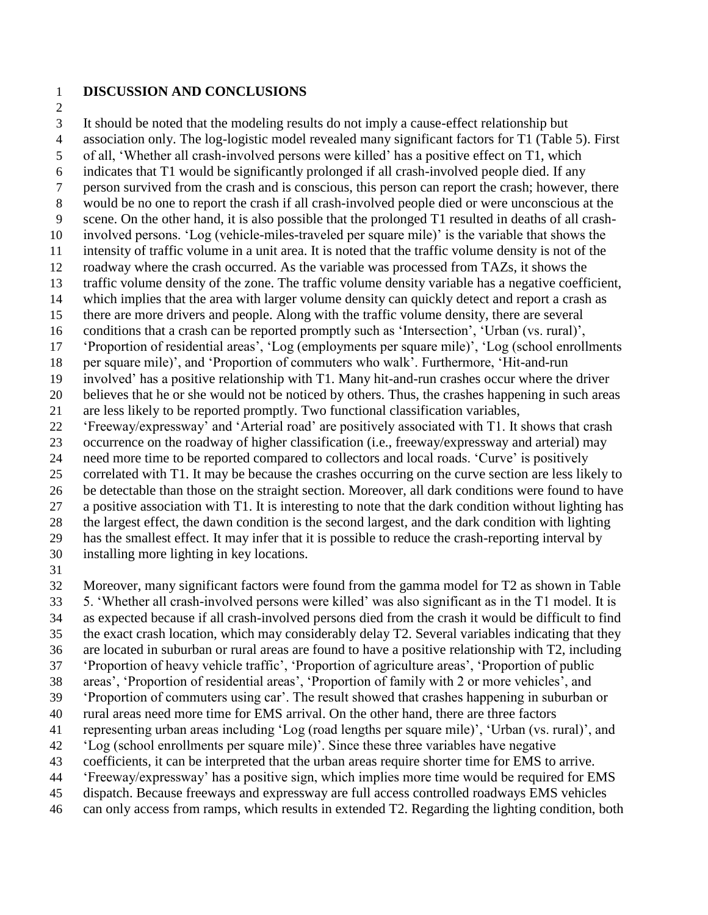- **DISCUSSION AND CONCLUSIONS**
- 

 It should be noted that the modeling results do not imply a cause-effect relationship but association only. The log-logistic model revealed many significant factors for T1 (Table 5). First of all, 'Whether all crash-involved persons were killed' has a positive effect on T1, which indicates that T1 would be significantly prolonged if all crash-involved people died. If any person survived from the crash and is conscious, this person can report the crash; however, there would be no one to report the crash if all crash-involved people died or were unconscious at the scene. On the other hand, it is also possible that the prolonged T1 resulted in deaths of all crash- involved persons. 'Log (vehicle-miles-traveled per square mile)' is the variable that shows the intensity of traffic volume in a unit area. It is noted that the traffic volume density is not of the roadway where the crash occurred. As the variable was processed from TAZs, it shows the traffic volume density of the zone. The traffic volume density variable has a negative coefficient, which implies that the area with larger volume density can quickly detect and report a crash as there are more drivers and people. Along with the traffic volume density, there are several conditions that a crash can be reported promptly such as 'Intersection', 'Urban (vs. rural)', 'Proportion of residential areas', 'Log (employments per square mile)', 'Log (school enrollments per square mile)', and 'Proportion of commuters who walk'. Furthermore, 'Hit-and-run involved' has a positive relationship with T1. Many hit-and-run crashes occur where the driver believes that he or she would not be noticed by others. Thus, the crashes happening in such areas are less likely to be reported promptly. Two functional classification variables, 'Freeway/expressway' and 'Arterial road' are positively associated with T1. It shows that crash occurrence on the roadway of higher classification (i.e., freeway/expressway and arterial) may need more time to be reported compared to collectors and local roads. 'Curve' is positively correlated with T1. It may be because the crashes occurring on the curve section are less likely to be detectable than those on the straight section. Moreover, all dark conditions were found to have a positive association with T1. It is interesting to note that the dark condition without lighting has the largest effect, the dawn condition is the second largest, and the dark condition with lighting has the smallest effect. It may infer that it is possible to reduce the crash-reporting interval by installing more lighting in key locations.

 Moreover, many significant factors were found from the gamma model for T2 as shown in Table 5. 'Whether all crash-involved persons were killed' was also significant as in the T1 model. It is as expected because if all crash-involved persons died from the crash it would be difficult to find the exact crash location, which may considerably delay T2. Several variables indicating that they are located in suburban or rural areas are found to have a positive relationship with T2, including 'Proportion of heavy vehicle traffic', 'Proportion of agriculture areas', 'Proportion of public areas', 'Proportion of residential areas', 'Proportion of family with 2 or more vehicles', and 'Proportion of commuters using car'. The result showed that crashes happening in suburban or rural areas need more time for EMS arrival. On the other hand, there are three factors representing urban areas including 'Log (road lengths per square mile)', 'Urban (vs. rural)', and 'Log (school enrollments per square mile)'. Since these three variables have negative coefficients, it can be interpreted that the urban areas require shorter time for EMS to arrive. 'Freeway/expressway' has a positive sign, which implies more time would be required for EMS dispatch. Because freeways and expressway are full access controlled roadways EMS vehicles

can only access from ramps, which results in extended T2. Regarding the lighting condition, both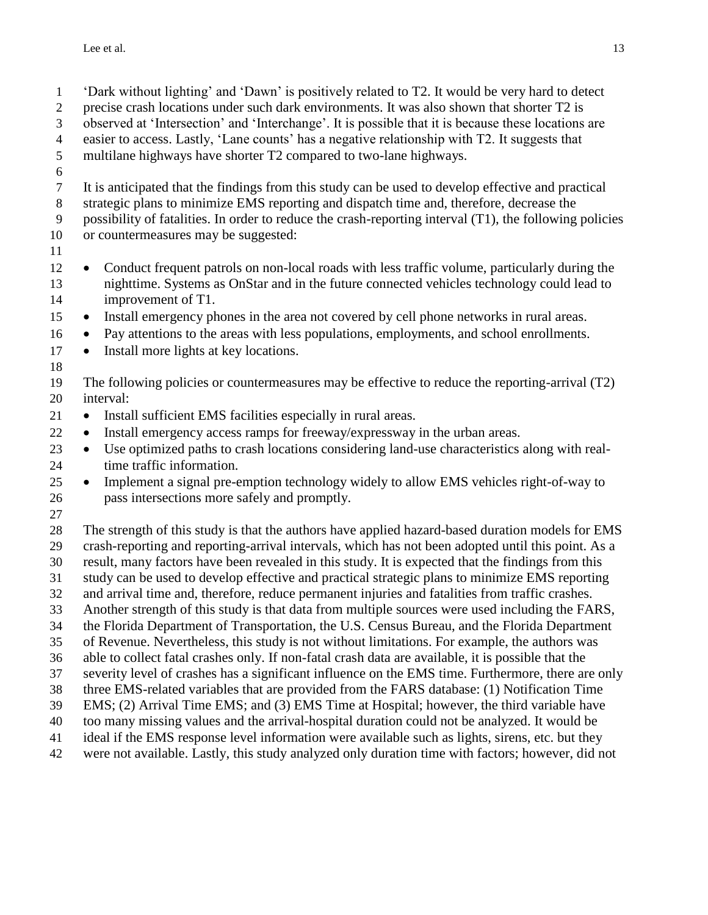'Dark without lighting' and 'Dawn' is positively related to T2. It would be very hard to detect precise crash locations under such dark environments. It was also shown that shorter T2 is observed at 'Intersection' and 'Interchange'. It is possible that it is because these locations are easier to access. Lastly, 'Lane counts' has a negative relationship with T2. It suggests that multilane highways have shorter T2 compared to two-lane highways. It is anticipated that the findings from this study can be used to develop effective and practical strategic plans to minimize EMS reporting and dispatch time and, therefore, decrease the possibility of fatalities. In order to reduce the crash-reporting interval (T1), the following policies or countermeasures may be suggested: • Conduct frequent patrols on non-local roads with less traffic volume, particularly during the nighttime. Systems as OnStar and in the future connected vehicles technology could lead to improvement of T1. • Install emergency phones in the area not covered by cell phone networks in rural areas. • Pay attentions to the areas with less populations, employments, and school enrollments. • Install more lights at key locations. The following policies or countermeasures may be effective to reduce the reporting-arrival (T2) interval: • Install sufficient EMS facilities especially in rural areas. • Install emergency access ramps for freeway/expressway in the urban areas. • Use optimized paths to crash locations considering land-use characteristics along with real- time traffic information. • Implement a signal pre-emption technology widely to allow EMS vehicles right-of-way to pass intersections more safely and promptly. The strength of this study is that the authors have applied hazard-based duration models for EMS crash-reporting and reporting-arrival intervals, which has not been adopted until this point. As a result, many factors have been revealed in this study. It is expected that the findings from this study can be used to develop effective and practical strategic plans to minimize EMS reporting and arrival time and, therefore, reduce permanent injuries and fatalities from traffic crashes. Another strength of this study is that data from multiple sources were used including the FARS, the Florida Department of Transportation, the U.S. Census Bureau, and the Florida Department of Revenue. Nevertheless, this study is not without limitations. For example, the authors was able to collect fatal crashes only. If non-fatal crash data are available, it is possible that the severity level of crashes has a significant influence on the EMS time. Furthermore, there are only three EMS-related variables that are provided from the FARS database: (1) Notification Time EMS; (2) Arrival Time EMS; and (3) EMS Time at Hospital; however, the third variable have too many missing values and the arrival-hospital duration could not be analyzed. It would be ideal if the EMS response level information were available such as lights, sirens, etc. but they were not available. Lastly, this study analyzed only duration time with factors; however, did not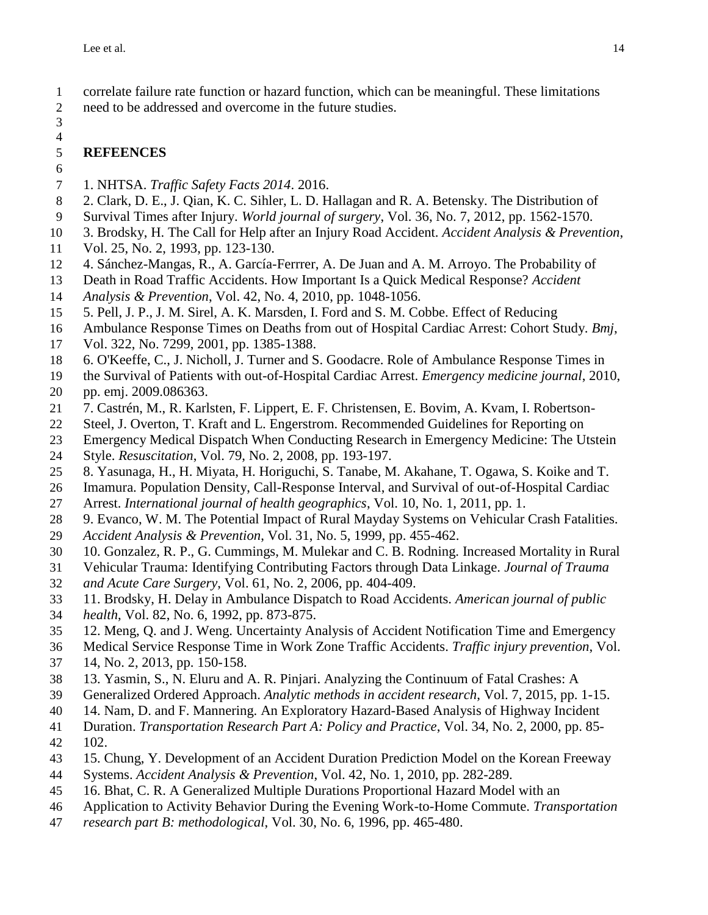correlate failure rate function or hazard function, which can be meaningful. These limitations need to be addressed and overcome in the future studies.

### 

### 

## **REFEENCES**

- <span id="page-13-0"></span> 1. NHTSA. *Traffic Safety Facts 2014*. 2016.
- <span id="page-13-1"></span>2. Clark, D. E., J. Qian, K. C. Sihler, L. D. Hallagan and R. A. Betensky. The Distribution of
- Survival Times after Injury. *World journal of surgery*, Vol. 36, No. 7, 2012, pp. 1562-1570.
- <span id="page-13-2"></span>3. Brodsky, H. The Call for Help after an Injury Road Accident. *Accident Analysis & Prevention*,
- Vol. 25, No. 2, 1993, pp. 123-130.
- <span id="page-13-3"></span>4. Sánchez-Mangas, R., A. García-Ferrrer, A. De Juan and A. M. Arroyo. The Probability of
- Death in Road Traffic Accidents. How Important Is a Quick Medical Response? *Accident*
- *Analysis & Prevention*, Vol. 42, No. 4, 2010, pp. 1048-1056.
- <span id="page-13-4"></span>5. Pell, J. P., J. M. Sirel, A. K. Marsden, I. Ford and S. M. Cobbe. Effect of Reducing
- Ambulance Response Times on Deaths from out of Hospital Cardiac Arrest: Cohort Study. *Bmj*,
- Vol. 322, No. 7299, 2001, pp. 1385-1388.
- <span id="page-13-5"></span>6. O'Keeffe, C., J. Nicholl, J. Turner and S. Goodacre. Role of Ambulance Response Times in
- the Survival of Patients with out-of-Hospital Cardiac Arrest. *Emergency medicine journal*, 2010,
- pp. emj. 2009.086363.
- <span id="page-13-6"></span>7. Castrén, M., R. Karlsten, F. Lippert, E. F. Christensen, E. Bovim, A. Kvam, I. Robertson-
- Steel, J. Overton, T. Kraft and L. Engerstrom. Recommended Guidelines for Reporting on
- Emergency Medical Dispatch When Conducting Research in Emergency Medicine: The Utstein
- Style. *Resuscitation*, Vol. 79, No. 2, 2008, pp. 193-197.
- <span id="page-13-7"></span>8. Yasunaga, H., H. Miyata, H. Horiguchi, S. Tanabe, M. Akahane, T. Ogawa, S. Koike and T.
- Imamura. Population Density, Call-Response Interval, and Survival of out-of-Hospital Cardiac
- Arrest. *International journal of health geographics*, Vol. 10, No. 1, 2011, pp. 1.
- <span id="page-13-8"></span>9. Evanco, W. M. The Potential Impact of Rural Mayday Systems on Vehicular Crash Fatalities.
- *Accident Analysis & Prevention*, Vol. 31, No. 5, 1999, pp. 455-462.
- <span id="page-13-9"></span>10. Gonzalez, R. P., G. Cummings, M. Mulekar and C. B. Rodning. Increased Mortality in Rural
- Vehicular Trauma: Identifying Contributing Factors through Data Linkage. *Journal of Trauma*
- *and Acute Care Surgery*, Vol. 61, No. 2, 2006, pp. 404-409.
- <span id="page-13-10"></span>11. Brodsky, H. Delay in Ambulance Dispatch to Road Accidents. *American journal of public*
- *health*, Vol. 82, No. 6, 1992, pp. 873-875.
- <span id="page-13-11"></span>12. Meng, Q. and J. Weng. Uncertainty Analysis of Accident Notification Time and Emergency
- Medical Service Response Time in Work Zone Traffic Accidents. *Traffic injury prevention*, Vol.
- 14, No. 2, 2013, pp. 150-158.
- <span id="page-13-12"></span>13. Yasmin, S., N. Eluru and A. R. Pinjari. Analyzing the Continuum of Fatal Crashes: A
- Generalized Ordered Approach. *Analytic methods in accident research*, Vol. 7, 2015, pp. 1-15.
- <span id="page-13-13"></span>14. Nam, D. and F. Mannering. An Exploratory Hazard-Based Analysis of Highway Incident
- Duration. *Transportation Research Part A: Policy and Practice*, Vol. 34, No. 2, 2000, pp. 85-
- 102.
- <span id="page-13-14"></span>15. Chung, Y. Development of an Accident Duration Prediction Model on the Korean Freeway
- Systems. *Accident Analysis & Prevention*, Vol. 42, No. 1, 2010, pp. 282-289.
- <span id="page-13-15"></span>16. Bhat, C. R. A Generalized Multiple Durations Proportional Hazard Model with an
- Application to Activity Behavior During the Evening Work-to-Home Commute. *Transportation*
- *research part B: methodological*, Vol. 30, No. 6, 1996, pp. 465-480.